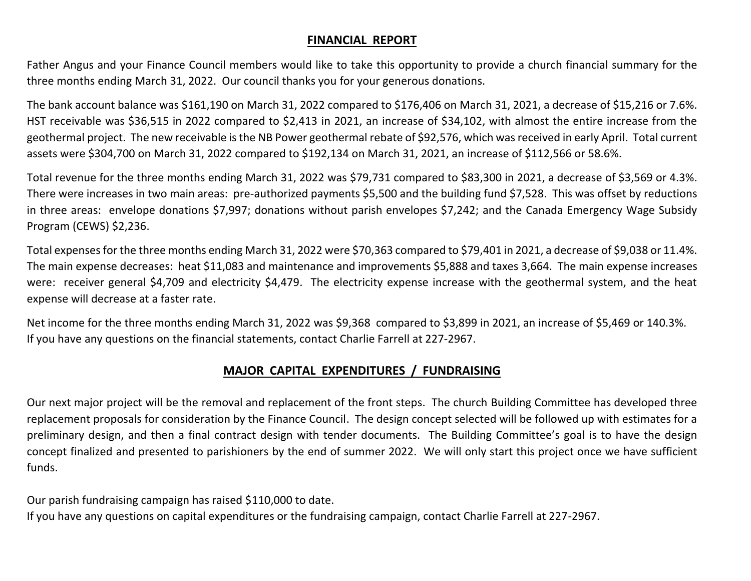## **FINANCIAL REPORT**

Father Angus and your Finance Council members would like to take this opportunity to provide a church financial summary for the three months ending March 31, 2022. Our council thanks you for your generous donations.

The bank account balance was \$161,190 on March 31, 2022 compared to \$176,406 on March 31, 2021, a decrease of \$15,216 or 7.6%. HST receivable was \$36,515 in 2022 compared to \$2,413 in 2021, an increase of \$34,102, with almost the entire increase from the geothermal project. The new receivable is the NB Power geothermal rebate of \$92,576, which was received in early April. Total current assets were \$304,700 on March 31, 2022 compared to \$192,134 on March 31, 2021, an increase of \$112,566 or 58.6%.

Total revenue for the three months ending March 31, 2022 was \$79,731 compared to \$83,300 in 2021, a decrease of \$3,569 or 4.3%. There were increases in two main areas: pre-authorized payments \$5,500 and the building fund \$7,528. This was offset by reductions in three areas: envelope donations \$7,997; donations without parish envelopes \$7,242; and the Canada Emergency Wage Subsidy Program (CEWS) \$2,236.

Total expenses for the three months ending March 31, 2022 were \$70,363 compared to \$79,401 in 2021, a decrease of \$9,038 or 11.4%. The main expense decreases: heat \$11,083 and maintenance and improvements \$5,888 and taxes 3,664. The main expense increases were: receiver general \$4,709 and electricity \$4,479. The electricity expense increase with the geothermal system, and the heat expense will decrease at a faster rate.

Net income for the three months ending March 31, 2022 was \$9,368 compared to \$3,899 in 2021, an increase of \$5,469 or 140.3%. If you have any questions on the financial statements, contact Charlie Farrell at 227-2967.

## **MAJOR CAPITAL EXPENDITURES / FUNDRAISING**

Our next major project will be the removal and replacement of the front steps. The church Building Committee has developed three replacement proposals for consideration by the Finance Council. The design concept selected will be followed up with estimates for a preliminary design, and then a final contract design with tender documents. The Building Committee's goal is to have the design concept finalized and presented to parishioners by the end of summer 2022. We will only start this project once we have sufficient funds.

Our parish fundraising campaign has raised \$110,000 to date.

If you have any questions on capital expenditures or the fundraising campaign, contact Charlie Farrell at 227-2967.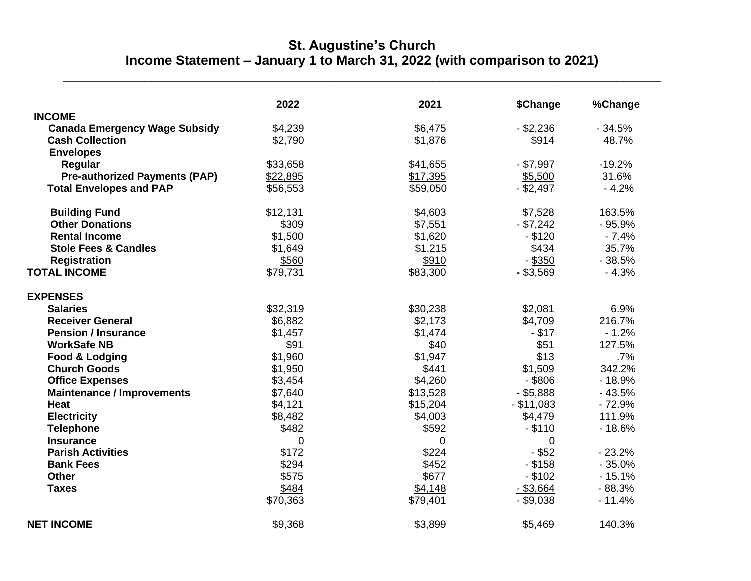## **St. Augustine's Church Income Statement – January 1 to March 31, 2022 (with comparison to 2021)**

**\_\_\_\_\_\_\_\_\_\_\_\_\_\_\_\_\_\_\_\_\_\_\_\_\_\_\_\_\_\_\_\_\_\_\_\_\_\_\_\_\_\_\_\_\_\_\_\_\_\_\_\_\_\_\_\_\_\_\_\_\_\_\_\_\_\_\_\_\_\_\_\_\_\_\_\_\_\_\_\_\_**

|                                      | 2022     | 2021     | \$Change     | %Change  |
|--------------------------------------|----------|----------|--------------|----------|
| <b>INCOME</b>                        |          |          |              |          |
| <b>Canada Emergency Wage Subsidy</b> | \$4,239  | \$6,475  | $-$ \$2,236  | $-34.5%$ |
| <b>Cash Collection</b>               | \$2,790  | \$1,876  | \$914        | 48.7%    |
| <b>Envelopes</b>                     |          |          |              |          |
| Regular                              | \$33,658 | \$41,655 | $-$ \$7,997  | $-19.2%$ |
| <b>Pre-authorized Payments (PAP)</b> | \$22,895 | \$17,395 | \$5,500      | 31.6%    |
| <b>Total Envelopes and PAP</b>       | \$56,553 | \$59,050 | $-$ \$2,497  | $-4.2%$  |
| <b>Building Fund</b>                 | \$12,131 | \$4,603  | \$7,528      | 163.5%   |
| <b>Other Donations</b>               | \$309    | \$7,551  | $- $7,242$   | $-95.9%$ |
| <b>Rental Income</b>                 | \$1,500  | \$1,620  | $- $120$     | $-7.4%$  |
| <b>Stole Fees &amp; Candles</b>      | \$1,649  | \$1,215  | \$434        | 35.7%    |
| <b>Registration</b>                  | \$560    | \$910    | $-$ \$350    | $-38.5%$ |
| <b>TOTAL INCOME</b>                  | \$79,731 | \$83,300 | $-$ \$3,569  | $-4.3%$  |
| <b>EXPENSES</b>                      |          |          |              |          |
| <b>Salaries</b>                      | \$32,319 | \$30,238 | \$2,081      | 6.9%     |
| <b>Receiver General</b>              | \$6,882  | \$2,173  | \$4,709      | 216.7%   |
| <b>Pension / Insurance</b>           | \$1,457  | \$1,474  | $-$ \$17     | $-1.2%$  |
| <b>WorkSafe NB</b>                   | \$91     | \$40     | \$51         | 127.5%   |
| Food & Lodging                       | \$1,960  | \$1,947  | \$13         | .7%      |
| <b>Church Goods</b>                  | \$1,950  | \$441    | \$1,509      | 342.2%   |
| <b>Office Expenses</b>               | \$3,454  | \$4,260  | $-$ \$806    | $-18.9%$ |
| <b>Maintenance / Improvements</b>    | \$7,640  | \$13,528 | $-$ \$5,888  | $-43.5%$ |
| <b>Heat</b>                          | \$4,121  | \$15,204 | $-$ \$11,083 | $-72.9%$ |
| <b>Electricity</b>                   | \$8,482  | \$4,003  | \$4,479      | 111.9%   |
| <b>Telephone</b>                     | \$482    | \$592    | $ $110$      | $-18.6%$ |
| <b>Insurance</b>                     | 0        | 0        | 0            |          |
| <b>Parish Activities</b>             | \$172    | \$224    | $-$ \$52     | $-23.2%$ |
| <b>Bank Fees</b>                     | \$294    | \$452    | $-$ \$158    | $-35.0%$ |
| <b>Other</b>                         | \$575    | \$677    | $-$ \$102    | $-15.1%$ |
| <b>Taxes</b>                         | \$484    | \$4,148  | $-$ \$3,664  | $-88.3%$ |
|                                      | \$70,363 | \$79,401 | $-$ \$9,038  | $-11.4%$ |
| <b>NET INCOME</b>                    | \$9,368  | \$3,899  | \$5,469      | 140.3%   |